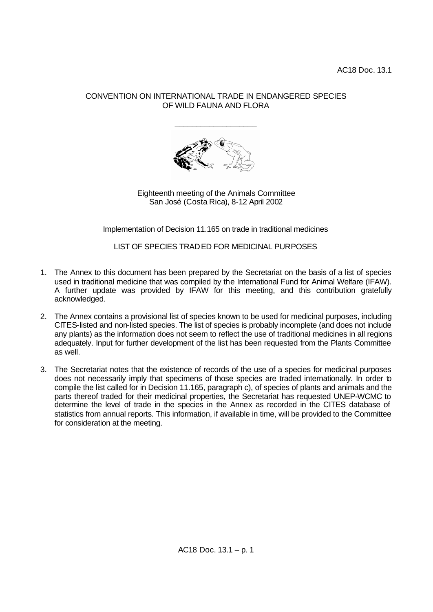## CONVENTION ON INTERNATIONAL TRADE IN ENDANGERED SPECIES OF WILD FAUNA AND FLORA

\_\_\_\_\_\_\_\_\_\_\_\_\_\_\_\_\_\_\_



Eighteenth meeting of the Animals Committee San José (Costa Rica), 8-12 April 2002

Implementation of Decision 11.165 on trade in traditional medicines

LIST OF SPECIES TRADED FOR MEDICINAL PURPOSES

- 1. The Annex to this document has been prepared by the Secretariat on the basis of a list of species used in traditional medicine that was compiled by the International Fund for Animal Welfare (IFAW). A further update was provided by IFAW for this meeting, and this contribution gratefully acknowledged.
- 2. The Annex contains a provisional list of species known to be used for medicinal purposes, including CITES-listed and non-listed species. The list of species is probably incomplete (and does not include any plants) as the information does not seem to reflect the use of traditional medicines in all regions adequately. Input for further development of the list has been requested from the Plants Committee as well.
- 3. The Secretariat notes that the existence of records of the use of a species for medicinal purposes does not necessarily imply that specimens of those species are traded internationally. In order to compile the list called for in Decision 11.165, paragraph c), of species of plants and animals and the parts thereof traded for their medicinal properties, the Secretariat has requested UNEP-WCMC to determine the level of trade in the species in the Annex as recorded in the CITES database of statistics from annual reports. This information, if available in time, will be provided to the Committee for consideration at the meeting.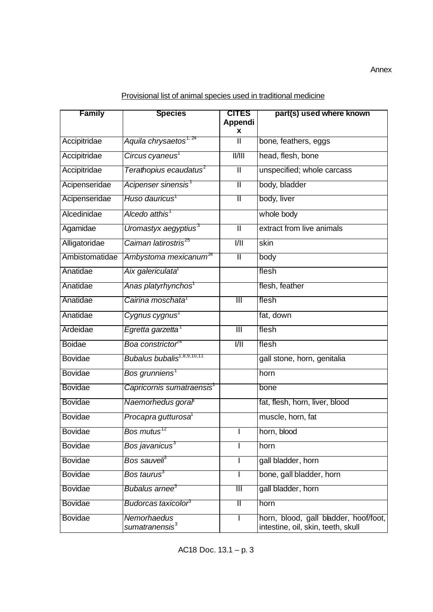Annex

| <b>Family</b>  | <b>Species</b>                            | <b>CITES</b>              | part(s) used where known                                                    |
|----------------|-------------------------------------------|---------------------------|-----------------------------------------------------------------------------|
|                |                                           | Appendi                   |                                                                             |
|                |                                           | x                         |                                                                             |
| Accipitridae   | Aquila chrysaetos <sup>1, 24</sup>        | π                         | bone, feathers, eggs                                                        |
| Accipitridae   | Circus cyaneus <sup>1</sup>               | $\overline{  /  }$        | head, flesh, bone                                                           |
| Accipitridae   | Terathopius ecaudatus $^{\rm 2}$          | $\overline{\mathbb{I}}$   | unspecified; whole carcass                                                  |
| Acipenseridae  | Acipenser sinensis'                       | Π                         | body, bladder                                                               |
| Acipenseridae  | Huso dauricus <sup>1</sup>                | Π                         | body, liver                                                                 |
| Alcedinidae    | Alcedo atthis <sup>1</sup>                |                           | whole body                                                                  |
| Agamidae       | Uromastyx aegyptius <sup>3</sup>          | $\overline{\mathsf{I}}$   | extract from live animals                                                   |
| Alligatoridae  | Caiman latirostris <sup>25</sup>          | $\overline{1/11}$         | skin                                                                        |
| Ambistomatidae | Ambystoma mexicanum <sup>24</sup>         | $\overline{\mathbb{I}}$   | body                                                                        |
| Anatidae       | Aix galericulata <sup>1</sup>             |                           | flesh                                                                       |
| Anatidae       | Anas platyrhynchos'                       |                           | flesh, feather                                                              |
| Anatidae       | Cairina moschata <sup>1</sup>             | $\overline{\mathbb{H}}$   | flesh                                                                       |
| Anatidae       | Cygnus cygnus <sup>1</sup>                |                           | fat, down                                                                   |
| Ardeidae       | Egretta garzetta <sup>1</sup>             | $\overline{\mathsf{III}}$ | flesh                                                                       |
| <b>Boidae</b>  | Boa constrictor <sup>24</sup>             | $\overline{1/11}$         | flesh                                                                       |
| <b>Bovidae</b> | Bubalus bubalis <sup>1,8,9,10,11</sup>    |                           | gall stone, horn, genitalia                                                 |
| <b>Bovidae</b> | Bos grunniens <sup>1</sup>                |                           | horn                                                                        |
| Bovidae        | Capricornis sumatraensis'                 |                           | <b>bone</b>                                                                 |
| Bovidae        | Naemorhedus goral                         |                           | fat, flesh, horn, liver, blood                                              |
| Bovidae        | Procapra gutturosa <sup>1</sup>           |                           | muscle, horn, fat                                                           |
| <b>Bovidae</b> | Bos mutus $12$                            |                           | horn, blood                                                                 |
| Bovidae        | Bos javanicus <sup>3</sup>                |                           | horn                                                                        |
| Bovidae        | Bos sauveli <sup>3</sup>                  |                           | gall bladder, horn                                                          |
| Bovidae        | Bos taurus $^3$                           |                           | bone, gall bladder, horn                                                    |
| <b>Bovidae</b> | Bubalus arnee <sup>3</sup>                | $\overline{\mathbb{H}}$   | gall bladder, horn                                                          |
| <b>Bovidae</b> | Budorcas taxicolor <sup>3</sup>           | Π                         | horn                                                                        |
| <b>Bovidae</b> | Nemorhaedus<br>sumatranensis <sup>3</sup> |                           | horn, blood, gall bladder, hoof/foot,<br>intestine, oil, skin, teeth, skull |

Provisional list of animal species used in traditional medicine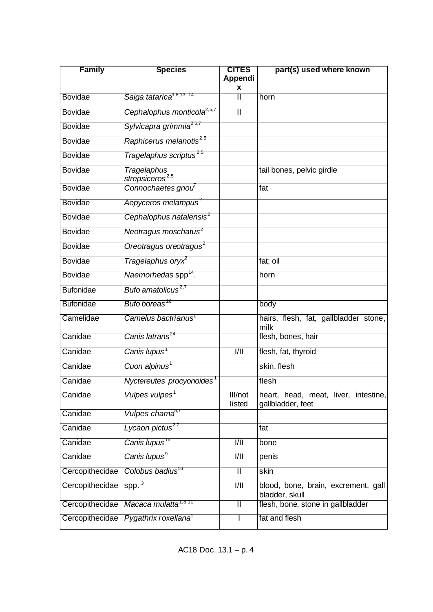| <b>Family</b>    | <b>Species</b>                             | <b>CITES</b><br>Appendi<br>x | part(s) used where known                                  |
|------------------|--------------------------------------------|------------------------------|-----------------------------------------------------------|
| <b>Bovidae</b>   | Saiga tatarica <sup>3,8,13,14</sup>        | Π                            | horn                                                      |
| <b>Bovidae</b>   | Cephalophus monticola <sup>2,5,7</sup>     | π                            |                                                           |
| <b>Bovidae</b>   | Sylvicapra grimmia <sup>2,5,7</sup>        |                              |                                                           |
| <b>Bovidae</b>   | Raphicerus melanotis <sup>2,5</sup>        |                              |                                                           |
| <b>Bovidae</b>   | Tragelaphus scriptus <sup>2,5</sup>        |                              |                                                           |
| <b>Bovidae</b>   | Tragelaphus<br>strepsiceros <sup>2,5</sup> |                              | tail bones, pelvic girdle                                 |
| <b>Bovidae</b>   | Connochaetes gnou                          |                              | fat                                                       |
| <b>Bovidae</b>   | Aepyceros melampus <sup>2</sup>            |                              |                                                           |
| <b>Bovidae</b>   | Cephalophus natalensis <sup>2</sup>        |                              |                                                           |
| <b>Bovidae</b>   | Neotragus moschatus <sup>2</sup>           |                              |                                                           |
| <b>Bovidae</b>   | Oreotragus oreotragus <sup>2</sup>         |                              |                                                           |
| <b>Bovidae</b>   | Tragelaphus oryx <sup>2</sup>              |                              | fat; oil                                                  |
| <b>Bovidae</b>   | Naemorhedas spp <sup>14</sup> .            |                              | horn                                                      |
| <b>Bufonidae</b> | Bufo amatolicus <sup>2,7</sup>             |                              |                                                           |
| <b>Bufonidae</b> | Bufo boreas <sup>26</sup>                  |                              | body                                                      |
| Camelidae        | Camelus bactrianus <sup>1</sup>            |                              | hairs, flesh, fat, gallbladder stone,<br>milk             |
| Canidae          | Canis latrans <sup>24</sup>                |                              | flesh, bones, hair                                        |
| Canidae          | Canis lupus <sup>1</sup>                   | $\frac{1}{1}$                | flesh, fat, thyroid                                       |
| Canidae          | Cuon alpinus <sup>1</sup>                  |                              | skin, flesh                                               |
| Canidae          | Nyctereutes procyonoides <sup>1</sup>      |                              | flesh                                                     |
| Canidae          | Vulpes vulpes <sup>1</sup>                 | III/not<br>listed            | heart, head, meat, liver, intestine,<br>gallbladder, feet |
| Canidae          | Vulpes chama <sup>s, r</sup>               |                              |                                                           |
| Canidae          | Lycaon pictus <sup>2,7</sup>               |                              | fat                                                       |
| Canidae          | Canis lupus <sup>15</sup>                  | $\overline{1/11}$            | bone                                                      |
| Canidae          | Canis lupus <sup>9</sup>                   | 1/11                         | penis                                                     |
| Cercopithecidae  | Colobus badius <sup>16</sup>               | π                            | skin                                                      |
| Cercopithecidae  | spp. $3$                                   | $\frac{1}{1}$                | blood, bone, brain, excrement, gall<br>bladder, skull     |
| Cercopithecidae  | Macaca mulatta <sup>1,8,11</sup>           | Π                            | flesh, bone, stone in gallbladder                         |
| Cercopithecidae  | Pygathrix roxellana <sup>1</sup>           |                              | fat and flesh                                             |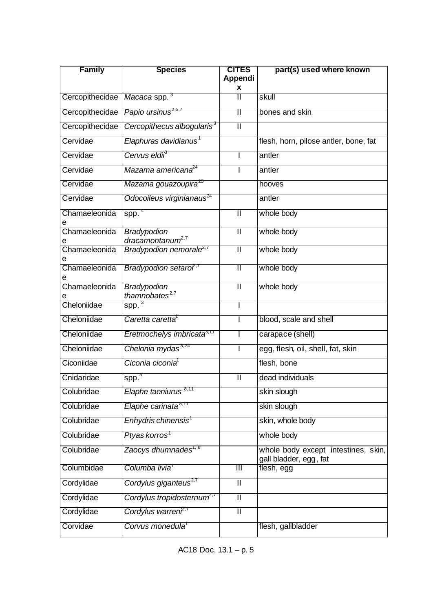| <b>Family</b>      | <b>Species</b>                                     | <b>CITES</b><br><b>Appendi</b> | part(s) used where known                                      |
|--------------------|----------------------------------------------------|--------------------------------|---------------------------------------------------------------|
|                    |                                                    | X                              |                                                               |
| Cercopithecidae    | Macaca spp. 3                                      | Ш                              | skull                                                         |
| Cercopithecidae    | Papio ursinus <sup>2,5,7</sup>                     | $\overline{\mathbb{I}}$        | bones and skin                                                |
| Cercopithecidae    | Cercopithecus albogularis <sup>3</sup>             | $\overline{\mathbb{I}}$        |                                                               |
| Cervidae           | Elaphuras davidianus <sup>1</sup>                  |                                | flesh, horn, pilose antler, bone, fat                         |
| Cervidae           | Cervus eldii <sup>s</sup>                          |                                | antler                                                        |
| Cervidae           | Mazama americana <sup>24</sup>                     |                                | antler                                                        |
| Cervidae           | Mazama gouazoupira <sup>25</sup>                   |                                | hooves                                                        |
| Cervidae           | Odocoileus virginianaus <sup>24</sup>              |                                | antler                                                        |
| Chamaeleonida<br>е | spp. <sup>4</sup>                                  | $\overline{\mathbb{I}}$        | whole body                                                    |
| Chamaeleonida      | <b>Bradypodion</b><br>dracamontanum <sup>2,7</sup> | Π                              | whole body                                                    |
| е<br>Chamaeleonida | Bradypodion nemorale <sup>2,7</sup>                | Ш                              | whole body                                                    |
| е<br>Chamaeleonida | Bradypodion setaroř <sup>1</sup>                   | $\mathbf{I}$                   | whole body                                                    |
|                    |                                                    |                                |                                                               |
| Chamaeleonida      | Bradypodion<br>thamnobates <sup>2,7</sup>          | $\mathbb I$                    | whole body                                                    |
| Cheloniidae        | $spp.^3$                                           |                                |                                                               |
| Cheloniidae        | Caretta caretta <sup>1</sup>                       |                                | blood, scale and shell                                        |
| Cheloniidae        | Eretmochelys imbricata <sup>3,11</sup>             |                                | carapace (shell)                                              |
| Cheloniidae        | Chelonia mydas <sup>3,24</sup>                     |                                | egg, flesh, oil, shell, fat, skin                             |
| Ciconiidae         | Ciconia ciconia <sup>1</sup>                       |                                | flesh, bone                                                   |
| Cnidaridae         | spp. <sup>3</sup>                                  | $\mathbf{I}$                   | dead individuals                                              |
| Colubridae         | Elaphe taeniurus                                   |                                | skin slough                                                   |
| Colubridae         | Elaphe carinata <sup>8,11</sup>                    |                                | skin slough                                                   |
| Colubridae         | Enhydris chinensis'                                |                                | skin, whole body                                              |
| Colubridae         | Ptyas korros <sup>1</sup>                          |                                | whole body                                                    |
| Colubridae         | Zaocys dhumnades <sup>1, 8</sup>                   |                                | whole body except intestines, skin,<br>gall bladder, egg, fat |
| Columbidae         | Columba livia <sup>1</sup>                         | Ш                              | flesh, egg                                                    |
| Cordylidae         | Cordylus giganteus <sup>2,7</sup>                  | $\mathbf{I}$                   |                                                               |
| Cordylidae         | Cordylus tropidosternum <sup>2,7</sup>             | $\overline{\mathsf{I}}$        |                                                               |
| Cordylidae         | Cordylus warreni <sup>2,7</sup>                    | $\overline{\mathbb{I}}$        |                                                               |
| Corvidae           | Corvus monedula <sup>1</sup>                       |                                | flesh, gallbladder                                            |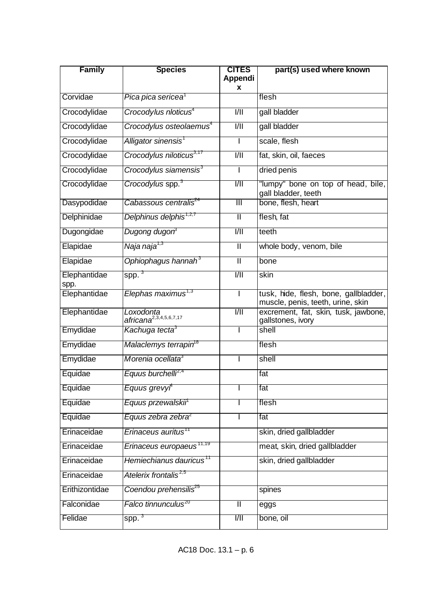| <b>Family</b>        | <b>Species</b>                                  | <b>CITES</b><br>Appendi<br>X | part(s) used where known                                                   |
|----------------------|-------------------------------------------------|------------------------------|----------------------------------------------------------------------------|
| Corvidae             | Pica pica sericea <sup>1</sup>                  |                              | flesh                                                                      |
| Crocodylidae         | Crocodylus nloticus <sup>4</sup>                | $\overline{1/11}$            | gall bladder                                                               |
| Crocodylidae         | Crocodylus osteolaemus <sup>4</sup>             | 1/11                         | gall bladder                                                               |
| Crocodylidae         | Alligator sinensis <sup>1</sup>                 |                              | scale, flesh                                                               |
| Crocodylidae         | Crocodylus niloticus <sup>3,17</sup>            | $\overline{1/11}$            | fat, skin, oil, faeces                                                     |
| Crocodylidae         | Crocodylus siamensis <sup>3</sup>               | I.                           | dried penis                                                                |
| Crocodylidae         | Crocodylus spp. <sup>3</sup>                    | 1/11                         | "lumpy" bone on top of head, bile,<br>gall bladder, teeth                  |
| Dasypodidae          | Cabassous centralis <sup>z4</sup>               | $\overline{\mathbb{H}}$      | bone, flesh, heart                                                         |
| Delphinidae          | Delphinus delphis <sup>1,2,7</sup>              | Π                            | flesh, fat                                                                 |
| Dugongidae           | Dugong dugon <sup>3</sup>                       | 1/11                         | teeth                                                                      |
| Elapidae             | Naja naja <sup>1,3</sup>                        | $\overline{\mathbb{I}}$      | whole body, venom, bile                                                    |
| Elapidae             | Ophiophagus hannah <sup>3</sup>                 | $\mathbf{I}$                 | bone                                                                       |
| Elephantidae<br>spp. | spp. $3$                                        | $\overline{1/11}$            | skin                                                                       |
| Elephantidae         | Elephas maximus <sup>1,3</sup>                  | ı                            | tusk, hide, flesh, bone, gallbladder,<br>muscle, penis, teeth, urine, skin |
| Elephantidae         | Loxodonta<br>africana <sup>2,3,4,5,6,7,17</sup> | $\overline{1/11}$            | excrement, fat, skin, tusk, jawbone,<br>gallstones, ivory                  |
| Emydidae             | Kachuga tecta <sup>3</sup>                      |                              | shell                                                                      |
| Emydidae             | Malaclemys terrapin <sup>18</sup>               |                              | flesh                                                                      |
| Emydidae             | Morenia ocellata <sup>3</sup>                   |                              | shell                                                                      |
| Equidae              | Equus burchelli <sup>2,4</sup>                  |                              | fat                                                                        |
| Equidae              | Equus grevyi <sup>+</sup>                       |                              | lfat                                                                       |
| Equidae              | Equus przewalskii <sup>1</sup>                  |                              | flesh                                                                      |
| Equidae              | Equus zebra zebra <sup>2</sup>                  |                              | fat                                                                        |
| Erinaceidae          | Erinaceus auritus $^{\scriptscriptstyle 11}$    |                              | skin, dried gallbladder                                                    |
| Erinaceidae          | Erinaceus europaeus <sup>11,19</sup>            |                              | meat, skin, dried gallbladder                                              |
| Erinaceidae          | Hemiechianus dauricus <sup>11</sup>             |                              | skin, dried gallbladder                                                    |
| Erinaceidae          | Atelerix frontalis <sup>2,5</sup>               |                              |                                                                            |
| Erithizontidae       | Coendou prehensilis <sup>zs</sup>               |                              | spines                                                                     |
| Falconidae           | Falco tinnunculus <sup>zo</sup>                 | Π                            | eggs                                                                       |
| Felidae              | spp. <sup>3</sup>                               | $\frac{1}{1}$                | bone, oil                                                                  |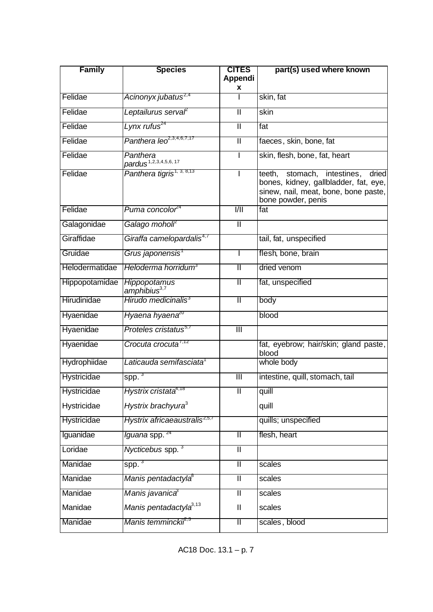| <b>Family</b>      | <b>Species</b>                                | <b>CITES</b><br>Appendi<br>x | part(s) used where known                                                                                                                    |
|--------------------|-----------------------------------------------|------------------------------|---------------------------------------------------------------------------------------------------------------------------------------------|
| Felidae            | Acinonyx jubatus <sup>2,4</sup>               |                              | skin, fat                                                                                                                                   |
| Felidae            | Leptailurus serval                            | $\overline{\mathbb{I}}$      | skin                                                                                                                                        |
| Felidae            | Lynx rufus <sup>24</sup>                      | $\overline{\mathbb{I}}$      | fat                                                                                                                                         |
| Felidae            | Panthera leo <sup>2,3,4,6,7,17</sup>          | $\mathbf{I}$                 | faeces, skin, bone, fat                                                                                                                     |
| Felidae            | Panthera<br>pardus <sup>1,2,3,4,5,6, 17</sup> |                              | skin, flesh, bone, fat, heart                                                                                                               |
| Felidae            | Panthera tigris <sup>1, 3, 8,13</sup>         |                              | stomach, intestines, dried<br>teeth,<br>bones, kidney, gallbladder, fat, eye,<br>sinew, nail, meat, bone, bone paste,<br>bone powder, penis |
| Felidae            | Puma concolor <sup>24</sup>                   | 1/11                         | fat                                                                                                                                         |
| Galagonidae        | Galago moholi <sup>r</sup>                    | $\overline{\mathsf{I}}$      |                                                                                                                                             |
| Giraffidae         | Giraffa camelopardalis <sup>4,7</sup>         |                              | tail, fat, unspecified                                                                                                                      |
| Gruidae            | Grus japonensis'                              |                              | flesh, bone, brain                                                                                                                          |
| Helodermatidae     | Heloderma horridum <sup>3</sup>               | $\mathbb{I}$                 | dried venom                                                                                                                                 |
| Hippopotamidae     | Hippopotamus<br>amphibius <sup>3,7</sup>      | $\mathbb{I}$                 | fat, unspecified                                                                                                                            |
| Hirudinidae        | Hirudo medicinalis <sup>3</sup>               | $\mathbb I$                  | body                                                                                                                                        |
| Hyaenidae          | Hyaena hyaena <sup>20</sup>                   |                              | blood                                                                                                                                       |
| Hyaenidae          | Proteles cristatus <sup>5,7</sup>             | $\overline{\mathbb{H}}$      |                                                                                                                                             |
| Hyaenidae          | Crocuta crocuta <sup>7,12</sup>               |                              | fat, eyebrow; hair/skin; gland paste,<br>blood                                                                                              |
| Hydrophiidae       | Laticauda semifasciata <sup>1</sup>           |                              | whole body                                                                                                                                  |
| <b>Hystricidae</b> | spp. $3$                                      | Ш                            | intestine, quill, stomach, tail                                                                                                             |
| Hystricidae        | Hystrix cristata4,18                          | Ш                            | quill                                                                                                                                       |
| Hystricidae        | Hystrix brachyura <sup>3</sup>                |                              | quill                                                                                                                                       |
| Hystricidae        | Hystrix africaeaustralis <sup>2,5,7</sup>     |                              | quills; unspecified                                                                                                                         |
| Iguanidae          | <i>lguana</i> spp. <sup>24</sup>              | Π                            | flesh, heart                                                                                                                                |
| Loridae            | Nycticebus spp. <sup>3</sup>                  | $\mathbf{I}$                 |                                                                                                                                             |
| Manidae            | spp. <sup>3</sup>                             | $\overline{\mathbb{I}}$      | scales                                                                                                                                      |
| Manidae            | Manis pentadactyla <sup>8</sup>               | $\overline{\mathbb{I}}$      | scales                                                                                                                                      |
| Manidae            | Manis javanica <sup>3</sup>                   | $\mathbf{I}$                 | scales                                                                                                                                      |
| Manidae            | Manis pentadactyla <sup>3,13</sup>            | $\mathbf{I}$                 | scales                                                                                                                                      |
| Manidae            | Manis temmincki <sup>2,3</sup>                | Ш                            | scales, blood                                                                                                                               |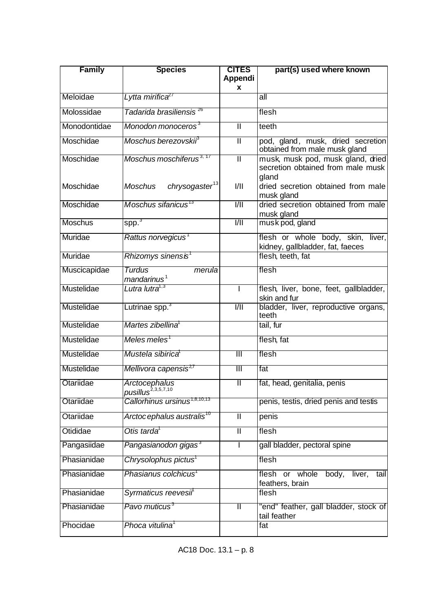| <b>Family</b>  | <b>Species</b>                                         | <b>CITES</b><br>Appendi | part(s) used where known                                               |
|----------------|--------------------------------------------------------|-------------------------|------------------------------------------------------------------------|
|                |                                                        | X                       |                                                                        |
| Meloidae       | Lytta mirifica <sup>21</sup>                           |                         | all                                                                    |
| Molossidae     | Tadarida brasiliensis <sup>26</sup>                    |                         | flesh                                                                  |
| Monodontidae   | Monodon monoceros <sup>3</sup>                         | $\overline{\mathbb{I}}$ | teeth                                                                  |
| Moschidae      | Moschus berezovskii <sup>s</sup>                       | Π                       | pod, gland, musk, dried secretion<br>obtained from male musk gland     |
| Moschidae      | Moschus moschiferus <sup>3, 17</sup>                   | π                       | musk, musk pod, musk gland, dried<br>secretion obtained from male musk |
| Moschidae      | chrysogaster <sup>13</sup><br>Moschus                  | 1/11                    | gland<br>dried secretion obtained from male<br>musk gland              |
| Moschidae      | Moschus sifanicus <sup>13</sup>                        | $V\parallel$            | dried secretion obtained from male<br>musk gland                       |
| <b>Moschus</b> | spp. <sup>3</sup>                                      | $\overline{1/11}$       | musk pod, gland                                                        |
| Muridae        | Rattus norvegicus <sup>1</sup>                         |                         | flesh or whole body, skin, liver,<br>kidney, gallbladder, fat, faeces  |
| Muridae        | Rhizomys sinensis $^{\rm \scriptscriptstyle 1}$        |                         | flesh, teeth, fat                                                      |
| Muscicapidae   | Turdus<br>merula<br>mandarinus <sup>1</sup>            |                         | flesh                                                                  |
| Mustelidae     | Lutra lutra <sup>1,3</sup>                             | I.                      | flesh, liver, bone, feet, gallbladder,<br>skin and fur                 |
| Mustelidae     | Lutrinae spp. <sup>3</sup>                             | $\overline{1/11}$       | bladder, liver, reproductive organs,<br>teeth                          |
| Mustelidae     | Martes zibellina <sup>1</sup>                          |                         | tail, fur                                                              |
| Mustelidae     | $Meles$ meles <sup>1</sup>                             |                         | flesh, fat                                                             |
| Mustelidae     | Mustela sibirica                                       | $\overline{\mathbb{H}}$ | flesh                                                                  |
| Mustelidae     | Mellivora capensis <sup>2,7</sup>                      | $\overline{\mathbb{H}}$ | fat                                                                    |
| Otariidae      | <b>Arctocephalus</b><br>pusillus <sup>2,3,5,7,10</sup> | $\mathbb{I}$            | fat, head, genitalia, penis                                            |
| Otariidae      | Callorhinus ursinus <sup>1,8,10,13</sup>               |                         | penis, testis, dried penis and testis                                  |
| Otariidae      | Arctoc ephalus australis <sup>10</sup>                 | $\mathbf{I}$            | penis                                                                  |
| Otididae       | Otis tarda <sup>1</sup>                                | $\mathbf{I}$            | flesh                                                                  |
| Pangasiidae    | Pangasianodon gigas <sup>3</sup>                       |                         | gall bladder, pectoral spine                                           |
| Phasianidae    | Chrysolophus pictus <sup>1</sup>                       |                         | flesh                                                                  |
| Phasianidae    | Phasianus colchicus <sup>1</sup>                       |                         | body,<br>or whole<br>liver,<br>flesh<br>tail<br>feathers, brain        |
| Phasianidae    | Syrmaticus reevesii <sup>1</sup>                       |                         | flesh                                                                  |
| Phasianidae    | Pavo muticus <sup>3</sup>                              | $\mathbb I$             | "end" feather, gall bladder, stock of<br>tail feather                  |
| Phocidae       | Phoca vitulina <sup>1</sup>                            |                         | fat                                                                    |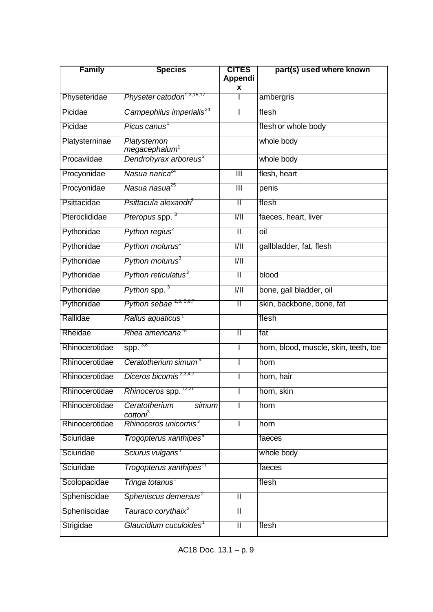| <b>Family</b>  | <b>Species</b>                                | <b>CITES</b><br>Appendi | part(s) used where known              |
|----------------|-----------------------------------------------|-------------------------|---------------------------------------|
| Physeteridae   | Physeter catodon <sup>1,3,15,17</sup>         | x                       | ambergris                             |
| Picidae        | Campephilus imperialis <sup>24</sup>          |                         | flesh                                 |
| Picidae        | Picus canus'                                  |                         | flesh or whole body                   |
| Platysterninae | Platysternon<br>megacephalum <sup>1</sup>     |                         | whole body                            |
| Procaviidae    | Dendrohyrax arboreus <sup>2</sup>             |                         | whole body                            |
| Procyonidae    | Nasua narica <sup>4</sup>                     | $\overline{\mathbb{H}}$ | flesh, heart                          |
| Procyonidae    | Nasua nasua <sup>25</sup>                     | $\overline{\mathbb{H}}$ | penis                                 |
| Psittacidae    | Psittacula alexandri <sup>t</sup>             | Π                       | flesh                                 |
| Pteroclididae  | Pteropus spp. 3                               | 1/11                    | faeces, heart, liver                  |
| Pythonidae     | Python regius <sup>4</sup>                    | π                       | oil                                   |
| Pythonidae     | Python molurus <sup>1</sup>                   | $\overline{1/11}$       | gallbladder, fat, flesh               |
| Pythonidae     | Python molurus <sup>3</sup>                   | $\overline{1/11}$       |                                       |
| Pythonidae     | Python reticulatus <sup>3</sup>               | $\overline{\mathsf{I}}$ | blood                                 |
| Pythonidae     | Python spp. <sup>3</sup>                      | 1/11                    | bone, gall bladder, oil               |
| Pythonidae     | Python sebae <sup>2,3, 5,6,7</sup>            | Π                       | skin, backbone, bone, fat             |
| Rallidae       | Rallus aquaticus <sup>1</sup>                 |                         | flesh                                 |
| Rheidae        | Rhea americana <sup>25</sup>                  | Π                       | fat                                   |
| Rhinocerotidae | spp. $3,8$                                    |                         | horn, blood, muscle, skin, teeth, toe |
| Rhinocerotidae | Ceratotherium simum <sup>4</sup>              |                         | horn                                  |
| Rhinocerotidae | Diceros bicornis <sup>2,3,4,7</sup>           |                         | horn, hair                            |
| Rhinocerotidae | Rhinoceros spp.                               |                         | horn, skin                            |
| Rhinocerotidae | Ceratotherium<br>simum<br>cotton <sup>3</sup> |                         | horn                                  |
| Rhinocerotidae | Rhinoceros unicornis <sup>3</sup>             |                         | horn                                  |
| Sciuridae      | Trogopterus xanthipes <sup>s</sup>            |                         | faeces                                |
| Sciuridae      | Sciurus vulgaris <sup>1</sup>                 |                         | whole body                            |
| Sciuridae      | Trogopterus xanthipes <sup>11</sup>           |                         | faeces                                |
| Scolopacidae   | Tringa totanus <sup>1</sup>                   |                         | flesh                                 |
| Spheniscidae   | Spheniscus demersus <sup>2</sup>              | $\overline{\mathbb{I}}$ |                                       |
| Spheniscidae   | Tauraco corythaix <sup>2</sup>                | Π                       |                                       |
| Strigidae      | Glaucidium cuculoides <sup>1</sup>            | $\overline{\mathbb{I}}$ | flesh                                 |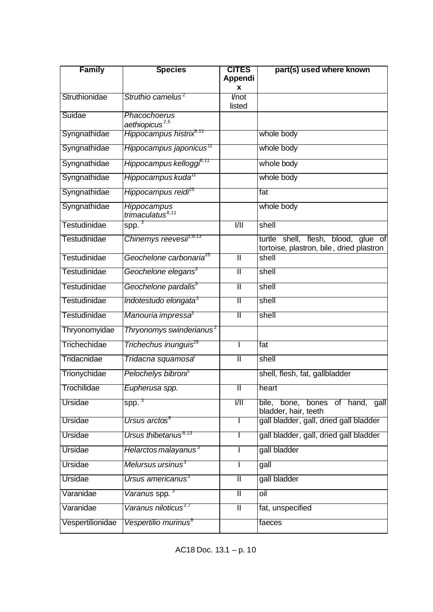| <b>Family</b>       | <b>Species</b>                              | <b>CITES</b><br><b>Appendi</b> | part(s) used where known                                                           |
|---------------------|---------------------------------------------|--------------------------------|------------------------------------------------------------------------------------|
|                     |                                             | x                              |                                                                                    |
| Struthionidae       | Struthio camelus <sup>2</sup>               | l/not<br>listed                |                                                                                    |
| Suidae              | Phacochoerus                                |                                |                                                                                    |
|                     | aethiopicus <sup>2,5</sup>                  |                                |                                                                                    |
| Syngnathidae        | Hippocampus histrix <sup>e, re</sup>        |                                | whole body                                                                         |
| Syngnathidae        | Hippocampus japonicus™                      |                                | whole body                                                                         |
| Syngnathidae        | Hippocampus kelloggi <sup>8,11</sup>        |                                | whole body                                                                         |
| Syngnathidae        | Hippocampus kuda <sup>11</sup>              |                                | whole body                                                                         |
| Syngnathidae        | Hippocampus reidi <sup>z5</sup>             |                                | fat                                                                                |
| Syngnathidae        | Hippocampus<br>trimaculatus <sup>8,11</sup> |                                | whole body                                                                         |
| <b>Testudinidae</b> | spp. <sup>3</sup>                           | $\overline{1/11}$              | shell                                                                              |
| <b>Testudinidae</b> | Chinemys reevesii <sup>n,8,13</sup>         |                                | shell, flesh, blood, glue of<br>turtle<br>tortoise, plastron, bile, dried plastron |
| <b>Testudinidae</b> | Geochelone carbonaria <sup>25</sup>         | $\overline{\mathbb{I}}$        | shell                                                                              |
| <b>Testudinidae</b> | Geochelone elegans <sup>3</sup>             | $\overline{\mathbb{I}}$        | shell                                                                              |
| Testudinidae        | Geochelone pardalis <sup>3</sup>            | Π                              | shell                                                                              |
| Testudinidae        | Indotestudo elongata <sup>3</sup>           | Π                              | shell                                                                              |
| Testudinidae        | Manouria impressa <sup>3</sup>              | Π                              | shell                                                                              |
| Thryonomyidae       | Thryonomys swinderianus <sup>2</sup>        |                                |                                                                                    |
| Trichechidae        | Trichechus inunguis <sup>25</sup>           |                                | fat                                                                                |
| Tridacnidae         | Tridacna squamosa <sup>ī</sup>              | $\overline{\mathsf{I}}$        | shell                                                                              |
| Trionychidae        | Pelochelys bibroni <sup>1</sup>             |                                | shell, flesh, fat, gallbladder                                                     |
| Trochilidae         | Eupherusa spp.                              | Ш                              | heart                                                                              |
| Ursidae             | $spp.^3$                                    | 1/11                           | bile, bone, bones of hand, gall<br>bladder, hair, teeth                            |
| Ursidae             | Ursus arctos $^{\rm 8}$                     |                                | gall bladder, gall, dried gall bladder                                             |
| Ursidae             | Ursus thibetanus <sup>8,13</sup>            |                                | gall bladder, gall, dried gall bladder                                             |
| Ursidae             | Helarctos malayanus <sup>3</sup>            |                                | gall bladder                                                                       |
| Ursidae             | Melursus ursinus <sup>3</sup>               |                                | $g$ all                                                                            |
| Ursidae             | Ursus americanus <sup>3</sup>               | $\mathbf{I}$                   | gall bladder                                                                       |
| Varanidae           | Varanus spp. <sup>3</sup>                   | $\overline{\mathbb{I}}$        | oil                                                                                |
| Varanidae           | Varanus niloticus <sup>2,7</sup>            | $\overline{\mathsf{I}}$        | fat, unspecified                                                                   |
| Vespertilionidae    | Vespertilio murinus <sup>8</sup>            |                                | faeces                                                                             |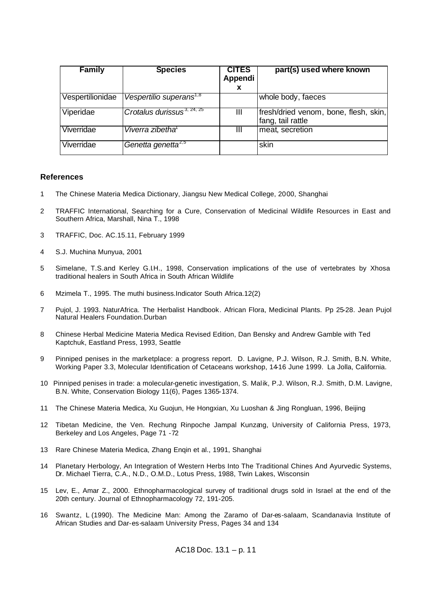| <b>Family</b>    | <b>Species</b>                         | <b>CITES</b><br>Appendi<br>x | part(s) used where known                                   |
|------------------|----------------------------------------|------------------------------|------------------------------------------------------------|
| Vespertilionidae | Vespertilio superans <sup>1,8</sup>    |                              | whole body, faeces                                         |
| Viperidae        | Crotalus durissus <sup>3, 24, 25</sup> | ш                            | fresh/dried venom, bone, flesh, skin,<br>fang, tail rattle |
| Viverridae       | Viverra zibetha <sup>®</sup>           | Ш                            | meat, secretion                                            |
| Viverridae       | Genetta genetta <sup>2,5</sup>         |                              | skin                                                       |

## **References**

- 1 The Chinese Materia Medica Dictionary, Jiangsu New Medical College, 2000, Shanghai
- 2 TRAFFIC International, Searching for a Cure, Conservation of Medicinal Wildlife Resources in East and Southern Africa, Marshall, Nina T., 1998
- 3 TRAFFIC, Doc. AC.15.11, February 1999
- 4 S.J. Muchina Munyua, 2001
- 5 Simelane, T.S.and Kerley G.I.H., 1998, Conservation implications of the use of vertebrates by Xhosa traditional healers in South Africa in South African Wildlife
- 6 Mzimela T., 1995. The muthi business.Indicator South Africa.12(2)
- 7 Pujol, J. 1993. NaturAfrica. The Herbalist Handbook. African Flora, Medicinal Plants. Pp 25-28. Jean Pujol Natural Healers Foundation.Durban
- 8 Chinese Herbal Medicine Materia Medica Revised Edition, Dan Bensky and Andrew Gamble with Ted Kaptchuk, Eastland Press, 1993, Seattle
- 9 Pinniped penises in the marketplace: a progress report. D. Lavigne, P.J. Wilson, R.J. Smith, B.N. White, Working Paper 3.3, Molecular Identification of Cetaceans workshop, 14-16 June 1999. La Jolla, California.
- 10 Pinniped penises in trade: a molecular-genetic investigation, S. Malik, P.J. Wilson, R.J. Smith, D.M. Lavigne, B.N. White, Conservation Biology 11(6), Pages 1365-1374.
- 11 The Chinese Materia Medica, Xu Guojun, He Hongxian, Xu Luoshan & Jing Rongluan, 1996, Beijing
- 12 Tibetan Medicine, the Ven. Rechung Rinpoche Jampal Kunzang, University of California Press, 1973, Berkeley and Los Angeles, Page 71 -72
- 13 Rare Chinese Materia Medica, Zhang Enqin et al., 1991, Shanghai
- 14 Planetary Herbology, An Integration of Western Herbs Into The Traditional Chines And Ayurvedic Systems, Dr. Michael Tierra, C.A., N.D., O.M.D., Lotus Press, 1988, Twin Lakes, Wisconsin
- 15 Lev, E., Amar Z., 2000. Ethnopharmacological survey of traditional drugs sold in Israel at the end of the 20th century. Journal of Ethnopharmacology 72, 191-205.
- 16 Swantz, L (1990). The Medicine Man: Among the Zaramo of Dar-es-salaam, Scandanavia Institute of African Studies and Dar-es-salaam University Press, Pages 34 and 134